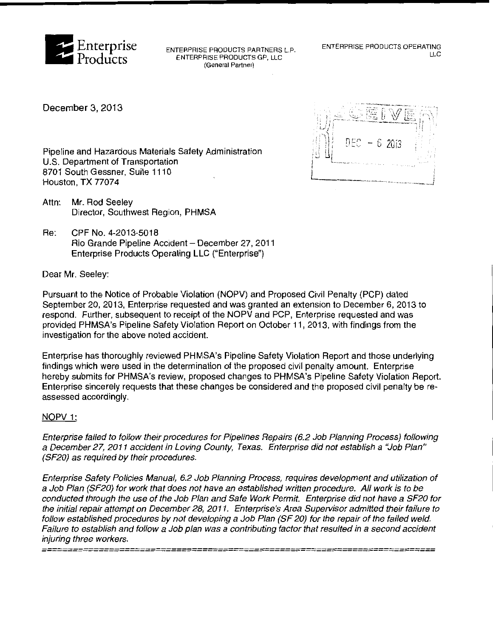

ENTERPRISE PRODUCTS PARTNERS L.P. ENTERPRISE PRODUCTS GP, LLC **(General Partner)** 

December 3, 2013



Pipeline and Hazardous Materials Safety Administration U.S. Department of Transportation 8701 South Gessner, Suite 1110 Houston, TX 77074

- Attn: Mr. Rod Seeley Director, Southwest Region, PHMSA
- Re: CPF No. 4-2013-5018 Rio Grande Pipeline Accident- December 27, 2011 Enterprise Products Operating LLC ("Enterprise")

Dear Mr. Seeley:

Pursuant to the Notice of Probable Violation (NOPV) and Proposed Civil Penalty (PCP) dated September 20, 2013, Enterprise requested and was granted an extension to December 6, 2013 to respond. Further, subsequent to receipt of the NOPV and PCP, Enterprise requested and was provided PHMSA's Pipeline Safety Violation Report on October 11, 2013, with findings from the investigation for the above noted accident.

Enterprise has thoroughly reviewed PHMSA's Pipeline Safety Violation Report and those underlying findings which were used in the determination of the proposed civil penalty amount. Enterprise hereby submits for PHMSA's review, proposed changes to PHMSA's Pipeline Safety Violation Report. Enterprise sincerely requests that these changes be considered and the proposed civil penalty be reassessed accordingly.

## NOPV 1:

Enterprise failed to follow their procedures tor Pipelines Repairs (6.2 Job Planning Process) following a December 27, 2011 accident in Loving County, Texas. Enterprise did not establish a "Job Plan" (SF20) as required by their procedures.

Enterprise Safety Policies Manual, 6.2 Job Planning Process, requires development and utilization of a Job Plan (SF20) tor work that does not have an established written procedure. All work is to be conducted through the use of the Job Plan and Safe Work Permit. Enterprise did not have a SF20 for the initial repair attempt on December 28, 2011. Enterprise's Area Supervisor admitted their failure to follow established procedures by not developing a Job Plan (SF 20) for the repair of the failed weld. Failure to establish and follow a Job plan was a contributing factor that resulted in a second accident injuring three workers.

*============================================================================*